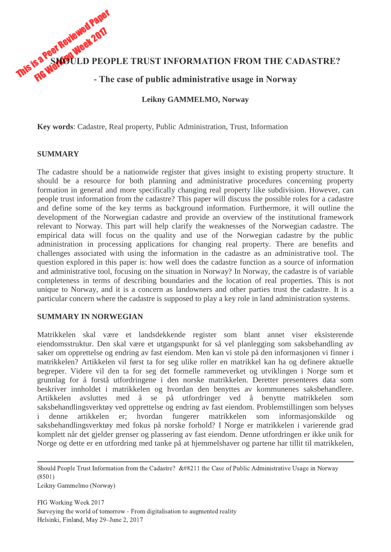This is a Peer Reviewed Paper **SHOULD PEOPLE TRUST INFORMATION FROM THE CADASTRE?**

# **- The case of public administrative usage in Norway**

#### **Leikny GAMMELMO, Norway**

**Key words**: Cadastre, Real property, Public Administration, Trust, Information

#### **SUMMARY**

The cadastre should be a nationwide register that gives insight to existing property structure. It should be a resource for both planning and administrative procedures concerning property formation in general and more specifically changing real property like subdivision. However, can people trust information from the cadastre? This paper will discuss the possible roles for a cadastre and define some of the key terms as background information. Furthermore, it will outline the development of the Norwegian cadastre and provide an overview of the institutional framework relevant to Norway. This part will help clarify the weaknesses of the Norwegian cadastre. The empirical data will focus on the quality and use of the Norwegian cadastre by the public administration in processing applications for changing real property. There are benefits and challenges associated with using the information in the cadastre as an administrative tool. The question explored in this paper is: how well does the cadastre function as a source of information and administrative tool, focusing on the situation in Norway? In Norway, the cadastre is of variable completeness in terms of describing boundaries and the location of real properties. This is not unique to Norway, and it is a concern as landowners and other parties trust the cadastre. It is a particular concern where the cadastre is supposed to play a key role in land administration systems.

#### **SUMMARY IN NORWEGIAN**

Matrikkelen skal være et landsdekkende register som blant annet viser eksisterende eiendomsstruktur. Den skal være et utgangspunkt for så vel planlegging som saksbehandling av saker om opprettelse og endring av fast eiendom. Men kan vi stole på den informasjonen vi finner i matrikkelen? Artikkelen vil først ta for seg ulike roller en matrikkel kan ha og definere aktuelle begreper. Videre vil den ta for seg det formelle rammeverket og utviklingen i Norge som et grunnlag for å forstå utfordringene i den norske matrikkelen. Deretter presenteres data som beskriver innholdet i matrikkelen og hvordan den benyttes av kommunenes saksbehandlere. Artikkelen avsluttes med å se på utfordringer ved å benytte matrikkelen som saksbehandlingsverktøy ved opprettelse og endring av fast eiendom. Problemstillingen som belyses i denne artikkelen er; hvordan fungerer matrikkelen som informasjonskilde og saksbehandlingsverktøy med fokus på norske forhold? I Norge er matrikkelen i varierende grad komplett når det gjelder grenser og plassering av fast eiendom. Denne utfordringen er ikke unik for Norge og dette er en utfordring med tanke på at hjemmelshaver og partene har tillit til matrikkelen,

Should People Trust Information from the Cadastre?  $&\#8211$  the Case of Public Administrative Usage in Norway (8501)

Leikny Gammelmo (Norway)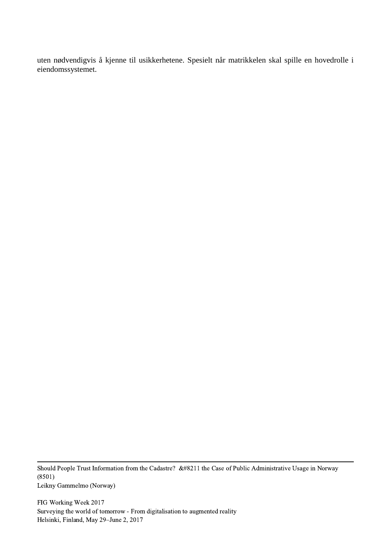uten nødvendigvis å kjenne til usikkerhetene. Spesielt når matrikkelen skal spille en hovedrolle i eiendomssystemet.

Should People Trust Information from the Cadastre? &#8211 the Case of Public Administrative Usage in Norway (8501) Leikny Gammelmo (Norway)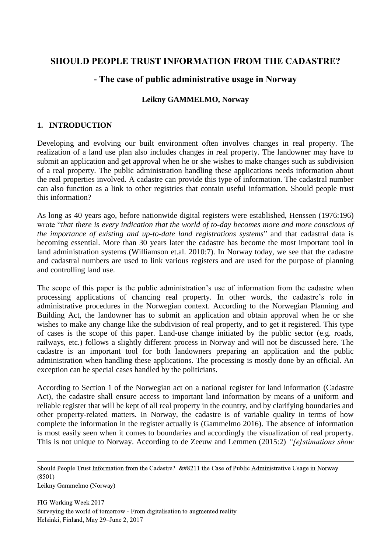# **SHOULD PEOPLE TRUST INFORMATION FROM THE CADASTRE?**

# **- The case of public administrative usage in Norway**

## **Leikny GAMMELMO, Norway**

## **1. INTRODUCTION**

Developing and evolving our built environment often involves changes in real property. The realization of a land use plan also includes changes in real property. The landowner may have to submit an application and get approval when he or she wishes to make changes such as subdivision of a real property. The public administration handling these applications needs information about the real properties involved. A cadastre can provide this type of information. The cadastral number can also function as a link to other registries that contain useful information. Should people trust this information?

As long as 40 years ago, before nationwide digital registers were established, Henssen (1976:196) wrote "*that there is every indication that the world of to-day becomes more and more conscious of the importance of existing and up-to-date land registrations systems*" and that cadastral data is becoming essential. More than 30 years later the cadastre has become the most important tool in land administration systems (Williamson et.al. 2010:7). In Norway today, we see that the cadastre and cadastral numbers are used to link various registers and are used for the purpose of planning and controlling land use.

The scope of this paper is the public administration's use of information from the cadastre when processing applications of chancing real property. In other words, the cadastre's role in administrative procedures in the Norwegian context. According to the Norwegian Planning and Building Act, the landowner has to submit an application and obtain approval when he or she wishes to make any change like the subdivision of real property, and to get it registered. This type of cases is the scope of this paper. Land-use change initiated by the public sector (e.g. roads, railways, etc.) follows a slightly different process in Norway and will not be discussed here. The cadastre is an important tool for both landowners preparing an application and the public administration when handling these applications. The processing is mostly done by an official. An exception can be special cases handled by the politicians.

According to Section 1 of the Norwegian act on a national register for land information (Cadastre Act), the cadastre shall ensure access to important land information by means of a uniform and reliable register that will be kept of all real property in the country, and by clarifying boundaries and other property-related matters. In Norway, the cadastre is of variable quality in terms of how complete the information in the register actually is (Gammelmo 2016). The absence of information is most easily seen when it comes to boundaries and accordingly the visualization of real property. This is not unique to Norway. According to de Zeeuw and Lemmen (2015:2) *"[e]stimations show* 

Should People Trust Information from the Cadastre?  $&\#8211$  the Case of Public Administrative Usage in Norway (8501)

Leikny Gammelmo (Norway)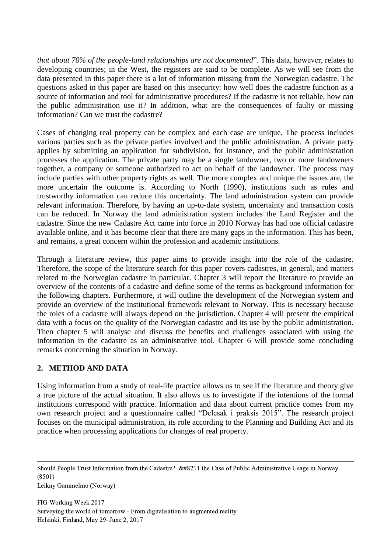*that about 70% of the people-land relationships are not documented*". This data, however, relates to developing countries; in the West, the registers are said to be complete. As we will see from the data presented in this paper there is a lot of information missing from the Norwegian cadastre. The questions asked in this paper are based on this insecurity: how well does the cadastre function as a source of information and tool for administrative procedures? If the cadastre is not reliable, how can the public administration use it? In addition, what are the consequences of faulty or missing information? Can we trust the cadastre?

Cases of changing real property can be complex and each case are unique. The process includes various parties such as the private parties involved and the public administration. A private party applies by submitting an application for subdivision, for instance, and the public administration processes the application. The private party may be a single landowner, two or more landowners together, a company or someone authorized to act on behalf of the landowner. The process may include parties with other property rights as well. The more complex and unique the issues are, the more uncertain the outcome is. According to North (1990), institutions such as rules and trustworthy information can reduce this uncertainty. The land administration system can provide relevant information. Therefore, by having an up-to-date system, uncertainty and transaction costs can be reduced. In Norway the land administration system includes the Land Register and the cadastre. Since the new Cadastre Act came into force in 2010 Norway has had one official cadastre available online, and it has become clear that there are many gaps in the information. This has been, and remains, a great concern within the profession and academic institutions.

Through a literature review, this paper aims to provide insight into the role of the cadastre. Therefore, the scope of the literature search for this paper covers cadastres, in general, and matters related to the Norwegian cadastre in particular. Chapter 3 will report the literature to provide an overview of the contents of a cadastre and define some of the terms as background information for the following chapters. Furthermore, it will outline the development of the Norwegian system and provide an overview of the institutional framework relevant to Norway. This is necessary because the roles of a cadastre will always depend on the jurisdiction. Chapter 4 will present the empirical data with a focus on the quality of the Norwegian cadastre and its use by the public administration. Then chapter 5 will analyse and discuss the benefits and challenges associated with using the information in the cadastre as an administrative tool. Chapter 6 will provide some concluding remarks concerning the situation in Norway.

## **2. METHOD AND DATA**

Using information from a study of real-life practice allows us to see if the literature and theory give a true picture of the actual situation. It also allows us to investigate if the intentions of the formal institutions correspond with practice. Information and data about current practice comes from my own research project and a questionnaire called "Delesak i praksis 2015". The research project focuses on the municipal administration, its role according to the Planning and Building Act and its practice when processing applications for changes of real property.

Should People Trust Information from the Cadastre?  $&\#8211$  the Case of Public Administrative Usage in Norway (8501)

Leikny Gammelmo (Norway)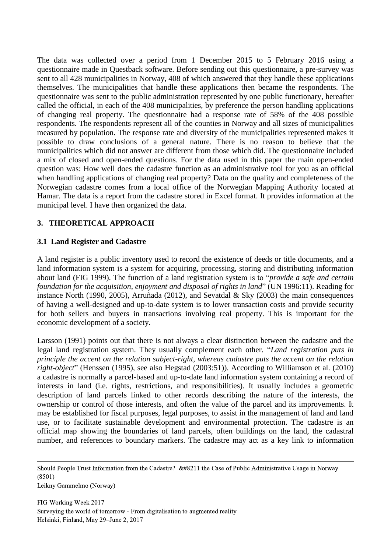The data was collected over a period from 1 December 2015 to 5 February 2016 using a questionnaire made in Questback software. Before sending out this questionnaire, a pre-survey was sent to all 428 municipalities in Norway, 408 of which answered that they handle these applications themselves. The municipalities that handle these applications then became the respondents. The questionnaire was sent to the public administration represented by one public functionary, hereafter called the official, in each of the 408 municipalities, by preference the person handling applications of changing real property. The questionnaire had a response rate of 58% of the 408 possible respondents. The respondents represent all of the counties in Norway and all sizes of municipalities measured by population. The response rate and diversity of the municipalities represented makes it possible to draw conclusions of a general nature. There is no reason to believe that the municipalities which did not answer are different from those which did. The questionnaire included a mix of closed and open-ended questions. For the data used in this paper the main open-ended question was: How well does the cadastre function as an administrative tool for you as an official when handling applications of changing real property? Data on the quality and completeness of the Norwegian cadastre comes from a local office of the Norwegian Mapping Authority located at Hamar. The data is a report from the cadastre stored in Excel format. It provides information at the municipal level. I have then organized the data.

## **3. THEORETICAL APPROACH**

#### **3.1 Land Register and Cadastre**

A land register is a public inventory used to record the existence of deeds or title documents, and a land information system is a system for acquiring, processing, storing and distributing information about land (FIG 1999). The function of a land registration system is to "*provide a safe and certain foundation for the acquisition, enjoyment and disposal of rights in land*" (UN 1996:11). Reading for instance North (1990, 2005), Arruñada (2012), and Sevatdal & Sky (2003) the main consequences of having a well-designed and up-to-date system is to lower transaction costs and provide security for both sellers and buyers in transactions involving real property. This is important for the economic development of a society.

Larsson (1991) points out that there is not always a clear distinction between the cadastre and the legal land registration system. They usually complement each other. "*Land registration puts in principle the accent on the relation subject-right, whereas cadastre puts the accent on the relation right-object*" (Henssen (1995), see also Hegstad (2003:51)). According to Williamson et al. (2010) a cadastre is normally a parcel-based and up-to-date land information system containing a record of interests in land (i.e. rights, restrictions, and responsibilities). It usually includes a geometric description of land parcels linked to other records describing the nature of the interests, the ownership or control of those interests, and often the value of the parcel and its improvements. It may be established for fiscal purposes, legal purposes, to assist in the management of land and land use, or to facilitate sustainable development and environmental protection. The cadastre is an official map showing the boundaries of land parcels, often buildings on the land, the cadastral number, and references to boundary markers. The cadastre may act as a key link to information

Should People Trust Information from the Cadastre?  $&\#8211$  the Case of Public Administrative Usage in Norway (8501)

Leikny Gammelmo (Norway)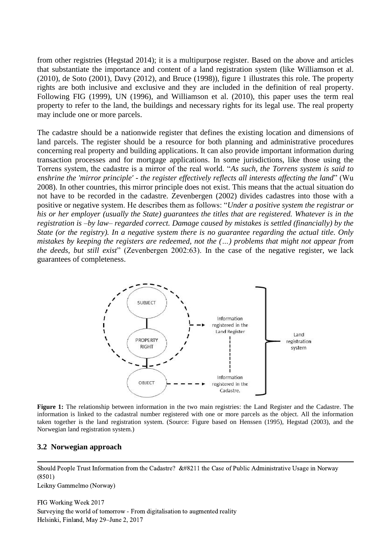from other registries (Hegstad 2014); it is a multipurpose register. Based on the above and articles that substantiate the importance and content of a land registration system (like Williamson et al. (2010), de Soto (2001), Davy (2012), and Bruce (1998)), figure 1 illustrates this role. The property rights are both inclusive and exclusive and they are included in the definition of real property. Following FIG (1999), UN (1996), and Williamson et al. (2010), this paper uses the term real property to refer to the land, the buildings and necessary rights for its legal use. The real property may include one or more parcels.

The cadastre should be a nationwide register that defines the existing location and dimensions of land parcels. The register should be a resource for both planning and administrative procedures concerning real property and building applications. It can also provide important information during transaction processes and for mortgage applications. In some jurisdictions, like those using the Torrens system, the cadastre is a mirror of the real world. "*As such, the Torrens system is said to enshrine the 'mirror principle' - the register effectively reflects all interests affecting the land*" (Wu 2008). In other countries, this mirror principle does not exist. This means that the actual situation do not have to be recorded in the cadastre. Zevenbergen (2002) divides cadastres into those with a positive or negative system. He describes them as follows: "*Under a positive system the registrar or his or her employer (usually the State) guarantees the titles that are registered. Whatever is in the registration is –by law– regarded correct. Damage caused by mistakes is settled (financially) by the State (or the registry). In a negative system there is no guarantee regarding the actual title. Only mistakes by keeping the registers are redeemed, not the (…) problems that might not appear from the deeds, but still exist*" (Zevenbergen 2002:63). In the case of the negative register, we lack guarantees of completeness.



**Figure 1:** The relationship between information in the two main registries: the Land Register and the Cadastre. The information is linked to the cadastral number registered with one or more parcels as the object. All the information taken together is the land registration system. (Source: Figure based on Henssen (1995), Hegstad (2003), and the Norwegian land registration system.)

#### **3.2 Norwegian approach**

Should People Trust Information from the Cadastre?  $&\#8211$  the Case of Public Administrative Usage in Norway (8501)

Leikny Gammelmo (Norway)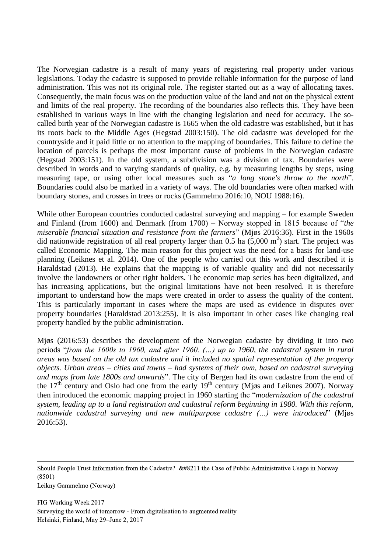The Norwegian cadastre is a result of many years of registering real property under various legislations. Today the cadastre is supposed to provide reliable information for the purpose of land administration. This was not its original role. The register started out as a way of allocating taxes. Consequently, the main focus was on the production value of the land and not on the physical extent and limits of the real property. The recording of the boundaries also reflects this. They have been established in various ways in line with the changing legislation and need for accuracy. The socalled birth year of the Norwegian cadastre is 1665 when the old cadastre was established, but it has its roots back to the Middle Ages (Hegstad 2003:150). The old cadastre was developed for the countryside and it paid little or no attention to the mapping of boundaries. This failure to define the location of parcels is perhaps the most important cause of problems in the Norwegian cadastre (Hegstad 2003:151). In the old system, a subdivision was a division of tax. Boundaries were described in words and to varying standards of quality, e.g. by measuring lengths by steps, using measuring tape, or using other local measures such as "*a long stone's throw to the north*". Boundaries could also be marked in a variety of ways. The old boundaries were often marked with boundary stones, and crosses in trees or rocks (Gammelmo 2016:10, NOU 1988:16).

While other European countries conducted cadastral surveying and mapping – for example Sweden and Finland (from 1600) and Denmark (from 1700) – Norway stopped in 1815 because of "*the miserable financial situation and resistance from the farmers*" (Mjøs 2016:36). First in the 1960s did nationwide registration of all real property larger than 0.5 ha  $(5,000 \text{ m}^2)$  start. The project was called Economic Mapping. The main reason for this project was the need for a basis for land-use planning (Leiknes et al. 2014). One of the people who carried out this work and described it is Haraldstad (2013). He explains that the mapping is of variable quality and did not necessarily involve the landowners or other right holders. The economic map series has been digitalized, and has increasing applications, but the original limitations have not been resolved. It is therefore important to understand how the maps were created in order to assess the quality of the content. This is particularly important in cases where the maps are used as evidence in disputes over property boundaries (Haraldstad 2013:255). It is also important in other cases like changing real property handled by the public administration.

Mjøs (2016:53) describes the development of the Norwegian cadastre by dividing it into two periods "*from the 1600s to 1960, and after 1960. (…) up to 1960, the cadastral system in rural areas was based on the old tax cadastre and it included no spatial representation of the property objects. Urban areas – cities and towns – had systems of their own, based on cadastral surveying and maps from late 1800s and onwards*". The city of Bergen had its own cadastre from the end of the  $17<sup>th</sup>$  century and Oslo had one from the early  $19<sup>th</sup>$  century (Mjøs and Leiknes 2007). Norway then introduced the economic mapping project in 1960 starting the "*modernization of the cadastral system, leading up to a land registration and cadastral reform beginning in 1980. With this reform, nationwide cadastral surveying and new multipurpose cadastre (…) were introduced*" (Mjøs 2016:53).

Should People Trust Information from the Cadastre?  $&\#8211$  the Case of Public Administrative Usage in Norway (8501)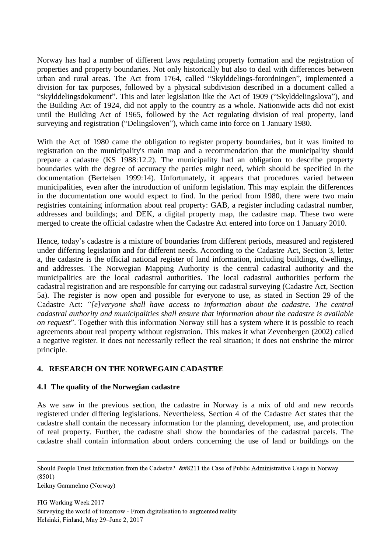Norway has had a number of different laws regulating property formation and the registration of properties and property boundaries. Not only historically but also to deal with differences between urban and rural areas. The Act from 1764, called "Skylddelings-forordningen", implemented a division for tax purposes, followed by a physical subdivision described in a document called a "skylddelingsdokument". This and later legislation like the Act of 1909 ("Skylddelingslova"), and the Building Act of 1924, did not apply to the country as a whole. Nationwide acts did not exist until the Building Act of 1965, followed by the Act regulating division of real property, land surveying and registration ("Delingsloven"), which came into force on 1 January 1980.

With the Act of 1980 came the obligation to register property boundaries, but it was limited to registration on the municipality's main map and a recommendation that the municipality should prepare a cadastre (KS 1988:12.2). The municipality had an obligation to describe property boundaries with the degree of accuracy the parties might need, which should be specified in the documentation (Bertelsen 1999:14). Unfortunately, it appears that procedures varied between municipalities, even after the introduction of uniform legislation. This may explain the differences in the documentation one would expect to find. In the period from 1980, there were two main registries containing information about real property: GAB, a register including cadastral number, addresses and buildings; and DEK, a digital property map, the cadastre map. These two were merged to create the official cadastre when the Cadastre Act entered into force on 1 January 2010.

Hence, today's cadastre is a mixture of boundaries from different periods, measured and registered under differing legislation and for different needs. According to the Cadastre Act, Section 3, letter a, the cadastre is the official national register of land information, including buildings, dwellings, and addresses. The Norwegian Mapping Authority is the central cadastral authority and the municipalities are the local cadastral authorities. The local cadastral authorities perform the cadastral registration and are responsible for carrying out cadastral surveying (Cadastre Act, Section 5a). The register is now open and possible for everyone to use, as stated in Section 29 of the Cadastre Act: *"[e]veryone shall have access to information about the cadastre. The central cadastral authority and municipalities shall ensure that information about the cadastre is available on request*". Together with this information Norway still has a system where it is possible to reach agreements about real property without registration. This makes it what Zevenbergen (2002) called a negative register. It does not necessarily reflect the real situation; it does not enshrine the mirror principle.

## **4. RESEARCH ON THE NORWEGAIN CADASTRE**

#### **4.1 The quality of the Norwegian cadastre**

As we saw in the previous section, the cadastre in Norway is a mix of old and new records registered under differing legislations. Nevertheless, Section 4 of the Cadastre Act states that the cadastre shall contain the necessary information for the planning, development, use, and protection of real property. Further, the cadastre shall show the boundaries of the cadastral parcels. The cadastre shall contain information about orders concerning the use of land or buildings on the

Leikny Gammelmo (Norway)

Should People Trust Information from the Cadastre?  $&\#8211$  the Case of Public Administrative Usage in Norway (8501)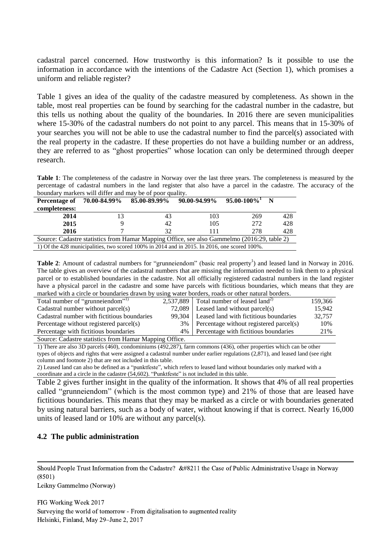cadastral parcel concerned. How trustworthy is this information? Is it possible to use the information in accordance with the intentions of the Cadastre Act (Section 1), which promises a uniform and reliable register?

Table 1 gives an idea of the quality of the cadastre measured by completeness. As shown in the table, most real properties can be found by searching for the cadastral number in the cadastre, but this tells us nothing about the quality of the boundaries. In 2016 there are seven municipalities where 15-30% of the cadastral numbers do not point to any parcel. This means that in 15-30% of your searches you will not be able to use the cadastral number to find the parcel(s) associated with the real property in the cadastre. If these properties do not have a building number or an address, they are referred to as "ghost properties" whose location can only be determined through deeper research.

**Table 1**: The completeness of the cadastre in Norway over the last three years. The completeness is measured by the percentage of cadastral numbers in the land register that also have a parcel in the cadastre. The accuracy of the boundary markers will differ and may be of poor quality.

| Percentage of | 70.00-84.99% | 85.00-89.99%                                                                                 | 90.00-94.99% | $95.00 - 100\%$ | N   |
|---------------|--------------|----------------------------------------------------------------------------------------------|--------------|-----------------|-----|
| completeness: |              |                                                                                              |              |                 |     |
| 2014          | 13           | 43                                                                                           | 103          | 269             | 428 |
| 2015          |              | 42                                                                                           | 105          | 272             | 428 |
| 2016          |              | 32                                                                                           | 111          | 278             | 428 |
|               |              | Source: Cadastre statistics from Hamar Mapping Office, see also Gammelmo (2016:29, table 2)  |              |                 |     |
|               |              | 1) Of the 428 municipalities, two scored 100% in 2014 and in 2015. In 2016, one scored 100%. |              |                 |     |

Table 2: Amount of cadastral numbers for "grunneiendom" (basic real property<sup>1</sup>) and leased land in Norway in 2016. The table gives an overview of the cadastral numbers that are missing the information needed to link them to a physical parcel or to established boundaries in the cadastre. Not all officially registered cadastral numbers in the land register have a physical parcel in the cadastre and some have parcels with fictitious boundaries, which means that they are marked with a circle or boundaries drawn by using water borders, roads or other natural borders.

|                                                       | WOLLER THREE COLWOLD, LOWED OI ORIGINAL LIWING COLWOLD. |         |
|-------------------------------------------------------|---------------------------------------------------------|---------|
| Total number of "grunneiendom"                        | 2,537,889 Total number of leased land <sup>2)</sup>     | 159.366 |
| Cadastral number without parcel(s)                    | $72,089$   Leased land without parcel(s)                | 15.942  |
| Cadastral number with fictitious boundaries           | 99,304   Leased land with fictitious boundaries         | 32,757  |
| Percentage without registered parcel(s)               | 3% Percentage without registered parcel(s)              | 10%     |
| Percentage with fictitious boundaries                 | 4%   Percentage with fictitious boundaries              | 21%     |
| Source: Cadastra statistics from Hamar Manning Office |                                                         |         |

Source: Cadastre statistics from Hamar Mapping Office.

1) There are also 3D parcels (460), condominiums (492,287), farm commons (436), other properties which can be other types of objects and rights that were assigned a cadastral number under earlier regulations (2,871), and leased land (see right column and footnote 2) that are not included in this table.

2) Leased land can also be defined as a "punktfeste", which refers to leased land without boundaries only marked with a coordinate and a circle in the cadastre (54,602). "Punktfeste" is not included in this table.

Table 2 gives further insight in the quality of the information. It shows that 4% of all real properties called "grunneiendom" (which is the most common type) and 21% of those that are leased have fictitious boundaries. This means that they may be marked as a circle or with boundaries generated by using natural barriers, such as a body of water, without knowing if that is correct. Nearly 16,000 units of leased land or 10% are without any parcel(s).

## **4.2 The public administration**

Should People Trust Information from the Cadastre?  $&\#8211$  the Case of Public Administrative Usage in Norway (8501)

Leikny Gammelmo (Norway)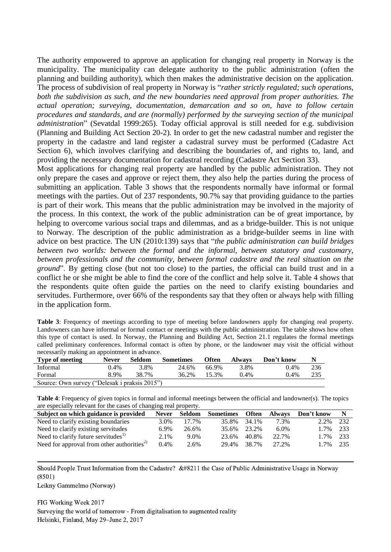The authority empowered to approve an application for changing real property in Norway is the municipality. The municipality can delegate authority to the public administration (often the planning and building authority), which then makes the administrative decision on the application. The process of subdivision of real property in Norway is "*rather strictly regulated; such operations, both the subdivision as such, and the new boundaries need approval from proper authorities. The actual operation; surveying, documentation, demarcation and so on, have to follow certain procedures and standards, and are (normally) performed by the surveying section of the municipal administration*" (Sevatdal 1999:265). Today official approval is still needed for e.g. subdivision (Planning and Building Act Section 20-2). In order to get the new cadastral number and register the property in the cadastre and land register a cadastral survey must be performed (Cadastre Act Section 6), which involves clarifying and describing the boundaries of, and rights to, land, and providing the necessary documentation for cadastral recording (Cadastre Act Section 33).

Most applications for changing real property are handled by the public administration. They not only prepare the cases and approve or reject them, they also help the parties during the process of submitting an application. Table 3 shows that the respondents normally have informal or formal meetings with the parties. Out of 237 respondents, 90.7% say that providing guidance to the parties is part of their work. This means that the public administration may be involved in the majority of the process. In this context, the work of the public administration can be of great importance, by helping to overcome various social traps and dilemmas, and as a bridge-builder. This is not unique to Norway. The description of the public administration as a bridge-builder seems in line with advice on best practice. The UN (2010:139) says that "*the public administration can build bridges between two worlds: between the formal and the informal, between statutory and customary, between professionals and the community, between formal cadastre and the real situation on the ground*". By getting close (but not too close) to the parties, the official can build trust and in a conflict he or she might be able to find the core of the conflict and help solve it. Table 4 shows that the respondents quite often guide the parties on the need to clarify existing boundaries and servitudes. Furthermore, over 66% of the respondents say that they often or always help with filling in the application form.

| <b>Table 3:</b> Frequency of meetings according to type of meeting before landowners apply for changing real property. |
|------------------------------------------------------------------------------------------------------------------------|
| Landowners can have informal or formal contact or meetings with the public administration. The table shows how often   |
| this type of contact is used. In Norway, the Planning and Building Act, Section 21.1 regulates the formal meetings     |
| called preliminary conferences. Informal contact is often by phone, or the landowner may visit the official without    |
| necessarily making an appointment in advance.                                                                          |

| <b>Type of meeting</b>                        | <b>Never</b> | Seldom | <b>Sometimes</b> | <b>Often</b> | <b>Always</b> | Don't know |     |
|-----------------------------------------------|--------------|--------|------------------|--------------|---------------|------------|-----|
| Informal                                      | $0.4\%$      | 3.8%   | 24.6%            | 66.9%        | 3.8%          | $0.4\%$    | 236 |
| Formal                                        | 8.9%         | 38.7%  | 36.2%            | 15.3%        | $0.4\%$       | $0.4\%$    | 235 |
| Source: Own survey ("Delesak i praksis 2015") |              |        |                  |              |               |            |     |

**Table 4**: Frequency of given topics in formal and informal meetings between the official and landowner(s). The topics are especially relevant for the cases of changing real property.

| Subject on which guidance is provided                  | <b>Never</b> | Seldom | <b>Sometimes</b> | <b>Often</b> | Always | Don't know |     |
|--------------------------------------------------------|--------------|--------|------------------|--------------|--------|------------|-----|
| Need to clarify existing boundaries                    | 3.0%         | 17.7%  | 35.8%            | 34.1%        | 7.3%   | 2.2%       | 232 |
| Need to clarify existing servitudes                    | 6.9%         | 26.6%  | 35.6%            | 23.2%        | 6.0%   | $1.7\%$    | 233 |
| Need to clarify future servitudes <sup>1)</sup>        | 2.1%         | 9.0%   | 23.6%            | 40.8%        | 22.7%  | 17%        | 233 |
| Need for approval from other authorities <sup>2)</sup> | $0.4\%$      | 2.6%   | 29.4%            | 38.7%        | 27.2%  | 1.7%       | 235 |
|                                                        |              |        |                  |              |        |            |     |

Should People Trust Information from the Cadastre?  $&\#8211$  the Case of Public Administrative Usage in Norway (8501)

Leikny Gammelmo (Norway)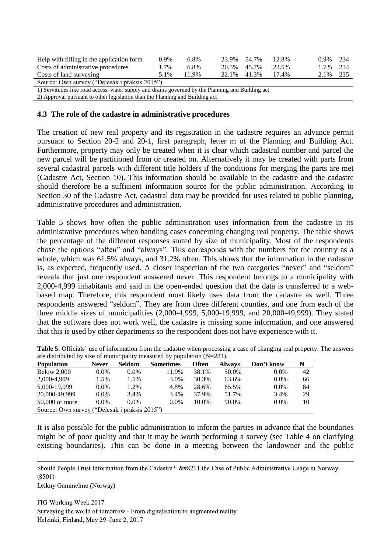| Help with filling in the application form                                                         | $0.9\%$ | 6.8%  | 23.9% 54.7% | 12.8% | $0.9\%$ 2.34 |  |
|---------------------------------------------------------------------------------------------------|---------|-------|-------------|-------|--------------|--|
| Costs of administrative procedures                                                                | 1.7%    | 6.8%  | 20.5% 45.7% | 23.5% | 1.7% 2.34    |  |
| Costs of land surveying                                                                           | 5.1%    | 11.9% | 22.1% 41.3% | 17.4% | 2.1% 235     |  |
| Source: Own survey ("Delesak i praksis 2015")                                                     |         |       |             |       |              |  |
| 1) Computed as like need access weten supply and drains occupied by the Dlapping and Duilding act |         |       |             |       |              |  |

1) Servitudes like road access, water supply and drains governed by the Planning and Building act

2) Approval pursuant to other legislation than the Planning and Building act

#### **4.3 The role of the cadastre in administrative procedures**

The creation of new real property and its registration in the cadastre requires an advance permit pursuant to Section 20-2 and 20-1, first paragraph, letter m of the Planning and Building Act. Furthermore, property may only be created when it is clear which cadastral number and parcel the new parcel will be partitioned from or created on. Alternatively it may be created with parts from several cadastral parcels with different title holders if the conditions for merging the parts are met (Cadastre Act, Section 10). This information should be available in the cadastre and the cadastre should therefore be a sufficient information source for the public administration. According to Section 30 of the Cadastre Act, cadastral data may be provided for uses related to public planning, administrative procedures and administration.

Table 5 shows how often the public administration uses information from the cadastre in its administrative procedures when handling cases concerning changing real property. The table shows the percentage of the different responses sorted by size of municipality. Most of the respondents chose the options "often" and "always". This corresponds with the numbers for the country as a whole, which was 61.5% always, and 31.2% often. This shows that the information in the cadastre is, as expected, frequently used. A closer inspection of the two categories "never" and "seldom" reveals that just one respondent answered never. This respondent belongs to a municipality with 2,000-4,999 inhabitants and said in the open-ended question that the data is transferred to a webbased map. Therefore, this respondent most likely uses data from the cadastre as well. Three respondents answered "seldom". They are from three different counties, and one from each of the three middle sizes of municipalities (2,000-4,999, 5,000-19,999, and 20,000-49,999). They stated that the software does not work well, the cadastre is missing some information, and one answered that this is used by other departments so the respondent does not have experience with it.

| are distributed by size of municipality measured by population $(N=231)$ . |              |               |                  |       |               |            |    |
|----------------------------------------------------------------------------|--------------|---------------|------------------|-------|---------------|------------|----|
| <b>Population</b>                                                          | <b>Never</b> | <b>Seldom</b> | <b>Sometimes</b> | Often | <b>Always</b> | Don't know | N  |
| <b>Below 2.000</b>                                                         | $0.0\%$      | $0.0\%$       | 11.9%            | 38.1% | 50.0%         | 0.0%       | 42 |
| 2,000-4.999                                                                | .5%          | .5%           | 3.0%             | 30.3% | 63.6%         | 0.0%       | 66 |
| 5.000-19.999                                                               | $0.0\%$      | $.2\%$        | 4.8%             | 28.6% | 65.5%         | 0.0%       | 84 |
| 20,000-49,999                                                              | $0.0\%$      | 3.4%          | 3.4%             | 37.9% | 51.7%         | 3.4%       | 29 |

50,000 or more 0.0% 0.0% 0.0% 10.0% 90.0% 0.0% 10

**Table 5**: Officials' use of information from the cadastre when processing a case of changing real property. The answers are distributed by size of municipality measured by population (N=231).

It is also possible for the public administration to inform the parties in advance that the boundaries might be of poor quality and that it may be worth performing a survey (see Table 4 on clarifying existing boundaries). This can be done in a meeting between the landowner and the public

Should People Trust Information from the Cadastre?  $&\#8211$  the Case of Public Administrative Usage in Norway (8501)

Leikny Gammelmo (Norway)

Source: Own survey ("Delesak i praksis 2015")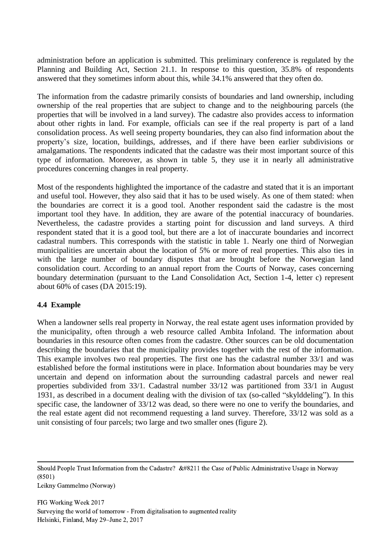administration before an application is submitted. This preliminary conference is regulated by the Planning and Building Act, Section 21.1. In response to this question, 35.8% of respondents answered that they sometimes inform about this, while 34.1% answered that they often do.

The information from the cadastre primarily consists of boundaries and land ownership, including ownership of the real properties that are subject to change and to the neighbouring parcels (the properties that will be involved in a land survey). The cadastre also provides access to information about other rights in land. For example, officials can see if the real property is part of a land consolidation process. As well seeing property boundaries, they can also find information about the property's size, location, buildings, addresses, and if there have been earlier subdivisions or amalgamations. The respondents indicated that the cadastre was their most important source of this type of information. Moreover, as shown in table 5, they use it in nearly all administrative procedures concerning changes in real property.

Most of the respondents highlighted the importance of the cadastre and stated that it is an important and useful tool. However, they also said that it has to be used wisely. As one of them stated: when the boundaries are correct it is a good tool. Another respondent said the cadastre is the most important tool they have. In addition, they are aware of the potential inaccuracy of boundaries. Nevertheless, the cadastre provides a starting point for discussion and land surveys. A third respondent stated that it is a good tool, but there are a lot of inaccurate boundaries and incorrect cadastral numbers. This corresponds with the statistic in table 1. Nearly one third of Norwegian municipalities are uncertain about the location of 5% or more of real properties. This also ties in with the large number of boundary disputes that are brought before the Norwegian land consolidation court. According to an annual report from the Courts of Norway, cases concerning boundary determination (pursuant to the Land Consolidation Act, Section 1-4, letter c) represent about 60% of cases (DA 2015:19).

#### **4.4 Example**

When a landowner sells real property in Norway, the real estate agent uses information provided by the municipality, often through a web resource called Ambita Infoland. The information about boundaries in this resource often comes from the cadastre. Other sources can be old documentation describing the boundaries that the municipality provides together with the rest of the information. This example involves two real properties. The first one has the cadastral number 33/1 and was established before the formal institutions were in place. Information about boundaries may be very uncertain and depend on information about the surrounding cadastral parcels and newer real properties subdivided from 33/1. Cadastral number 33/12 was partitioned from 33/1 in August 1931, as described in a document dealing with the division of tax (so-called "skylddeling"). In this specific case, the landowner of 33/12 was dead, so there were no one to verify the boundaries, and the real estate agent did not recommend requesting a land survey. Therefore, 33/12 was sold as a unit consisting of four parcels; two large and two smaller ones (figure 2).

Should People Trust Information from the Cadastre?  $&\#8211$  the Case of Public Administrative Usage in Norway (8501)

Leikny Gammelmo (Norway)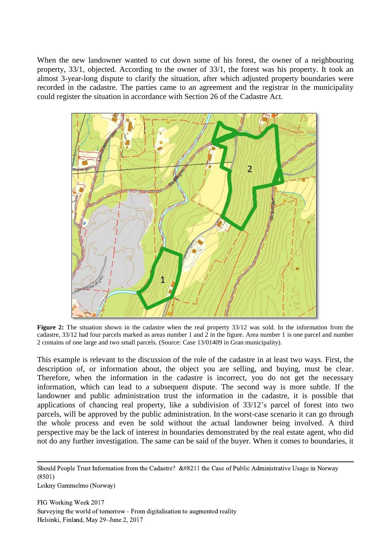When the new landowner wanted to cut down some of his forest, the owner of a neighbouring property, 33/1, objected. According to the owner of 33/1, the forest was his property. It took an almost 3-year-long dispute to clarify the situation, after which adjusted property boundaries were recorded in the cadastre. The parties came to an agreement and the registrar in the municipality could register the situation in accordance with Section 26 of the Cadastre Act.



**Figure 2:** The situation shown in the cadastre when the real property 33/12 was sold. In the information from the cadastre, 33/12 had four parcels marked as areas number 1 and 2 in the figure. Area number 1 is one parcel and number 2 contains of one large and two small parcels. (Source: Case 13/01409 in Gran municipality).

This example is relevant to the discussion of the role of the cadastre in at least two ways. First, the description of, or information about, the object you are selling, and buying, must be clear. Therefore, when the information in the cadastre is incorrect, you do not get the necessary information, which can lead to a subsequent dispute. The second way is more subtle. If the landowner and public administration trust the information in the cadastre, it is possible that applications of chancing real property, like a subdivision of 33/12's parcel of forest into two parcels, will be approved by the public administration. In the worst-case scenario it can go through the whole process and even be sold without the actual landowner being involved. A third perspective may be the lack of interest in boundaries demonstrated by the real estate agent, who did not do any further investigation. The same can be said of the buyer. When it comes to boundaries, it

Should People Trust Information from the Cadastre?  $&\#8211$  the Case of Public Administrative Usage in Norway (8501) Leikny Gammelmo (Norway)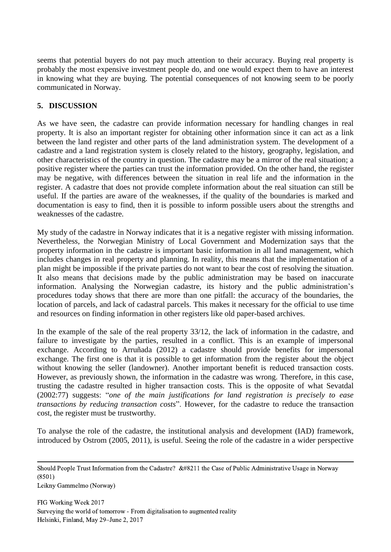seems that potential buyers do not pay much attention to their accuracy. Buying real property is probably the most expensive investment people do, and one would expect them to have an interest in knowing what they are buying. The potential consequences of not knowing seem to be poorly communicated in Norway.

## **5. DISCUSSION**

As we have seen, the cadastre can provide information necessary for handling changes in real property. It is also an important register for obtaining other information since it can act as a link between the land register and other parts of the land administration system. The development of a cadastre and a land registration system is closely related to the history, geography, legislation, and other characteristics of the country in question. The cadastre may be a mirror of the real situation; a positive register where the parties can trust the information provided. On the other hand, the register may be negative, with differences between the situation in real life and the information in the register. A cadastre that does not provide complete information about the real situation can still be useful. If the parties are aware of the weaknesses, if the quality of the boundaries is marked and documentation is easy to find, then it is possible to inform possible users about the strengths and weaknesses of the cadastre.

My study of the cadastre in Norway indicates that it is a negative register with missing information. Nevertheless, the Norwegian Ministry of Local Government and Modernization says that the property information in the cadastre is important basic information in all land management, which includes changes in real property and planning. In reality, this means that the implementation of a plan might be impossible if the private parties do not want to bear the cost of resolving the situation. It also means that decisions made by the public administration may be based on inaccurate information. Analysing the Norwegian cadastre, its history and the public administration's procedures today shows that there are more than one pitfall: the accuracy of the boundaries, the location of parcels, and lack of cadastral parcels. This makes it necessary for the official to use time and resources on finding information in other registers like old paper-based archives.

In the example of the sale of the real property 33/12, the lack of information in the cadastre, and failure to investigate by the parties, resulted in a conflict. This is an example of impersonal exchange. According to Arruñada (2012) a cadastre should provide benefits for impersonal exchange. The first one is that it is possible to get information from the register about the object without knowing the seller (landowner). Another important benefit is reduced transaction costs. However, as previously shown, the information in the cadastre was wrong. Therefore, in this case, trusting the cadastre resulted in higher transaction costs. This is the opposite of what Sevatdal (2002:77) suggests: "*one of the main justifications for land registration is precisely to ease transactions by reducing transaction costs*". However, for the cadastre to reduce the transaction cost, the register must be trustworthy.

To analyse the role of the cadastre, the institutional analysis and development (IAD) framework, introduced by Ostrom (2005, 2011), is useful. Seeing the role of the cadastre in a wider perspective

Should People Trust Information from the Cadastre?  $&\#8211$  the Case of Public Administrative Usage in Norway (8501)

Leikny Gammelmo (Norway)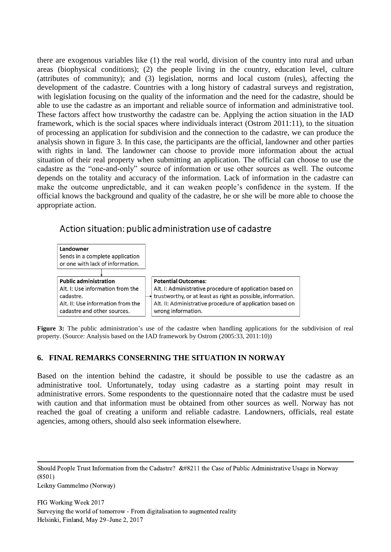there are exogenous variables like (1) the real world, division of the country into rural and urban areas (biophysical conditions); (2) the people living in the country, education level, culture (attributes of community); and (3) legislation, norms and local custom (rules), affecting the development of the cadastre. Countries with a long history of cadastral surveys and registration, with legislation focusing on the quality of the information and the need for the cadastre, should be able to use the cadastre as an important and reliable source of information and administrative tool. These factors affect how trustworthy the cadastre can be. Applying the action situation in the IAD framework, which is the social spaces where individuals interact (Ostrom 2011:11), to the situation of processing an application for subdivision and the connection to the cadastre, we can produce the analysis shown in figure 3. In this case, the participants are the official, landowner and other parties with rights in land. The landowner can choose to provide more information about the actual situation of their real property when submitting an application. The official can choose to use the cadastre as the "one-and-only" source of information or use other sources as well. The outcome depends on the totality and accuracy of the information. Lack of information in the cadastre can make the outcome unpredictable, and it can weaken people's confidence in the system. If the official knows the background and quality of the cadastre, he or she will be more able to choose the appropriate action.

# Action situation: public administration use of cadastre



**Figure 3:** The public administration's use of the cadastre when handling applications for the subdivision of real property. (Source: Analysis based on the IAD framework by Ostrom (2005:33, 2011:10))

## **6. FINAL REMARKS CONSERNING THE SITUATION IN NORWAY**

Based on the intention behind the cadastre, it should be possible to use the cadastre as an administrative tool. Unfortunately, today using cadastre as a starting point may result in administrative errors. Some respondents to the questionnaire noted that the cadastre must be used with caution and that information must be obtained from other sources as well. Norway has not reached the goal of creating a uniform and reliable cadastre. Landowners, officials, real estate agencies, among others, should also seek information elsewhere.

Should People Trust Information from the Cadastre?  $&\#8211$  the Case of Public Administrative Usage in Norway (8501)

Leikny Gammelmo (Norway)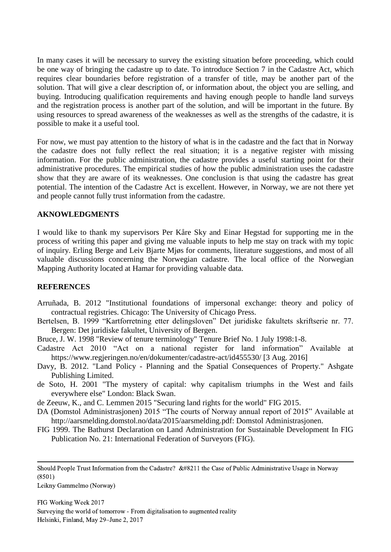In many cases it will be necessary to survey the existing situation before proceeding, which could be one way of bringing the cadastre up to date. To introduce Section 7 in the Cadastre Act, which requires clear boundaries before registration of a transfer of title, may be another part of the solution. That will give a clear description of, or information about, the object you are selling, and buying. Introducing qualification requirements and having enough people to handle land surveys and the registration process is another part of the solution, and will be important in the future. By using resources to spread awareness of the weaknesses as well as the strengths of the cadastre, it is possible to make it a useful tool.

For now, we must pay attention to the history of what is in the cadastre and the fact that in Norway the cadastre does not fully reflect the real situation; it is a negative register with missing information. For the public administration, the cadastre provides a useful starting point for their administrative procedures. The empirical studies of how the public administration uses the cadastre show that they are aware of its weaknesses. One conclusion is that using the cadastre has great potential. The intention of the Cadastre Act is excellent. However, in Norway, we are not there yet and people cannot fully trust information from the cadastre.

### **AKNOWLEDGMENTS**

I would like to thank my supervisors Per Kåre Sky and Einar Hegstad for supporting me in the process of writing this paper and giving me valuable inputs to help me stay on track with my topic of inquiry. Erling Berge and Leiv Bjarte Mjøs for comments, literature suggestions, and most of all valuable discussions concerning the Norwegian cadastre. The local office of the Norwegian Mapping Authority located at Hamar for providing valuable data.

#### **REFERENCES**

- Arruñada, B. 2012 "Institutional foundations of impersonal exchange: theory and policy of contractual registries. Chicago: The University of Chicago Press.
- Bertelsen, B. 1999 "Kartforretning etter delingsloven" Det juridiske fakultets skriftserie nr. 77. Bergen: Det juridiske fakultet, University of Bergen.
- Bruce, J. W. 1998 "Review of tenure terminology" Tenure Brief No. 1 July 1998:1-8.
- Cadastre Act 2010 "Act on a national register for land information" Available at <https://www.regjeringen.no/en/dokumenter/cadastre-act/id455530/> [3 Aug. 2016]
- Davy, B. 2012. "Land Policy Planning and the Spatial Consequences of Property." Ashgate Publishing Limited.
- de Soto, H. 2001 "The mystery of capital: why capitalism triumphs in the West and fails everywhere else" London: Black Swan.
- de Zeeuw, K., and C. Lemmen 2015 "Securing land rights for the world" FIG 2015.
- DA (Domstol Administrasjonen) 2015 "The courts of Norway annual report of 2015" Available at http://aarsmelding.domstol.no/data/2015/aarsmelding.pdf: Domstol Administrasjonen.
- FIG 1999. The Bathurst Declaration on Land Administration for Sustainable Development In FIG Publication No. 21: International Federation of Surveyors (FIG).

Should People Trust Information from the Cadastre?  $&\#8211$  the Case of Public Administrative Usage in Norway (8501)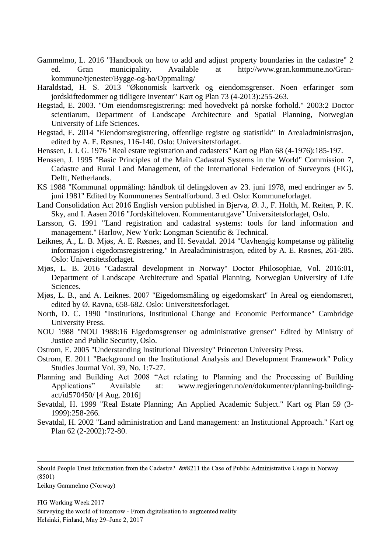- Gammelmo, L. 2016 "Handbook on how to add and adjust property boundaries in the cadastre" 2 ed. Gran municipality. Available at [http://www.gran.kommune.no/Gran](http://www.gran.kommune.no/Gran-kommune/tjenester/Bygge-og-bo/Oppmaling/)[kommune/tjenester/Bygge-og-bo/Oppmaling/](http://www.gran.kommune.no/Gran-kommune/tjenester/Bygge-og-bo/Oppmaling/)
- Haraldstad, H. S. 2013 "Økonomisk kartverk og eiendomsgrenser. Noen erfaringer som jordskiftedommer og tidligere inventør" Kart og Plan 73 (4-2013):255-263.
- Hegstad, E. 2003. "Om eiendomsregistrering: med hovedvekt på norske forhold." 2003:2 Doctor scientiarum, Department of Landscape Architecture and Spatial Planning, Norwegian University of Life Sciences.
- Hegstad, E. 2014 "Eiendomsregistrering, offentlige registre og statistikk" In Arealadministrasjon, edited by A. E. Røsnes, 116-140. Oslo: Universitetsforlaget.
- Henssen, J. I. G. 1976 "Real estate registration and cadasters" Kart og Plan 68 (4-1976):185-197.
- Henssen, J. 1995 "Basic Principles of the Main Cadastral Systems in the World" Commission 7, Cadastre and Rural Land Management, of the International Federation of Surveyors (FIG), Delft, Netherlands.
- KS 1988 "Kommunal oppmåling: håndbok til delingsloven av 23. juni 1978, med endringer av 5. juni 1981" Edited by Kommunenes Sentralforbund. 3 ed. Oslo: Kommuneforlaget.
- Land Consolidation Act 2016 English version published in Bierva, Ø. J., F. Holth, M. Reiten, P. K. Sky, and I. Aasen 2016 "Jordskifteloven. Kommentarutgave" Universitetsforlaget, Oslo.
- Larsson, G. 1991 "Land registration and cadastral systems: tools for land information and management." Harlow, New York: Longman Scientific & Technical.
- Leiknes, A., L. B. Mjøs, A. E. Røsnes, and H. Sevatdal. 2014 "Uavhengig kompetanse og pålitelig informasjon i eigedomsregistrering." In Arealadministrasjon, edited by A. E. Røsnes, 261-285. Oslo: Universitetsforlaget.
- Mjøs, L. B. 2016 "Cadastral development in Norway" Doctor Philosophiae, Vol. 2016:01, Department of Landscape Architecture and Spatial Planning, Norwegian University of Life Sciences.
- Mjøs, L. B., and A. Leiknes. 2007 "Eigedomsmåling og eigedomskart" In Areal og eiendomsrett, edited by Ø. Ravna, 658-682. Oslo: Universitetsforlaget.
- North, D. C. 1990 "Institutions, Institutional Change and Economic Performance" Cambridge University Press.
- NOU 1988 "NOU 1988:16 Eigedomsgrenser og administrative grenser" Edited by Ministry of Justice and Public Security, Oslo.
- Ostrom, E. 2005 "Understanding Institutional Diversity" Princeton University Press.
- Ostrom, E. 2011 "Background on the Institutional Analysis and Development Framework" Policy Studies Journal Vol. 39, No. 1:7-27.
- Planning and Building Act 2008 "Act relating to Planning and the Processing of Building Applications" Available at: [www.regjeringen.no/en/dokumenter/planning-building](http://www.regjeringen.no/en/dokumenter/planning-building-act/id570450/)[act/id570450/](http://www.regjeringen.no/en/dokumenter/planning-building-act/id570450/) [4 Aug. 2016]
- Sevatdal, H. 1999 "Real Estate Planning; An Applied Academic Subject." Kart og Plan 59 (3- 1999):258-266.
- Sevatdal, H. 2002 "Land administration and Land management: an Institutional Approach." Kart og Plan 62 (2-2002):72-80.

Should People Trust Information from the Cadastre?  $&\#8211$  the Case of Public Administrative Usage in Norway (8501)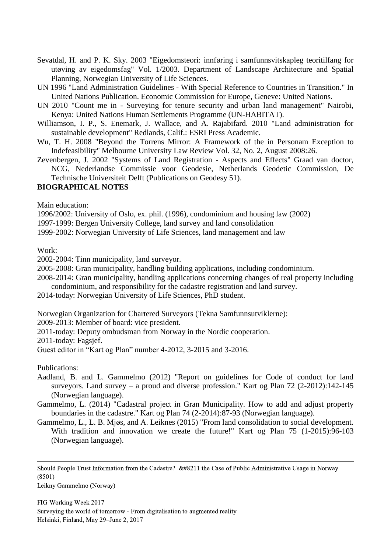- Sevatdal, H. and P. K. Sky. 2003 "Eigedomsteori: innføring i samfunnsvitskapleg teoritilfang for utøving av eigedomsfag" Vol. 1/2003. Department of Landscape Architecture and Spatial Planning, Norwegian University of Life Sciences.
- UN 1996 "Land Administration Guidelines With Special Reference to Countries in Transition." In United Nations Publication. Economic Commission for Europe, Geneve: United Nations.
- UN 2010 "Count me in Surveying for tenure security and urban land management" Nairobi, Kenya: United Nations Human Settlements Programme (UN-HABITAT).
- Williamson, I. P., S. Enemark, J. Wallace, and A. Rajabifard. 2010 "Land administration for sustainable development" Redlands, Calif.: ESRI Press Academic.
- Wu, T. H. 2008 "Beyond the Torrens Mirror: A Framework of the in Personam Exception to Indefeasibility" Melbourne University Law Review Vol. 32, No. 2, August 2008:26.
- Zevenbergen, J. 2002 "Systems of Land Registration Aspects and Effects" Graad van doctor, NCG, Nederlandse Commissie voor Geodesie, Netherlands Geodetic Commission, De Technische Universiteit Delft (Publications on Geodesy 51).

### **BIOGRAPHICAL NOTES**

Main education:

1996/2002: University of Oslo, ex. phil. (1996), condominium and housing law (2002)

1997-1999: Bergen University College, land survey and land consolidation

1999-2002: Norwegian University of Life Sciences, land management and law

Work:

2002-2004: Tinn municipality, land surveyor.

2005-2008: Gran municipality, handling building applications, including condominium.

2008-2014: Gran municipality, handling applications concerning changes of real property including condominium, and responsibility for the cadastre registration and land survey.

2014-today: Norwegian University of Life Sciences, PhD student.

Norwegian Organization for Chartered Surveyors (Tekna Samfunnsutviklerne):

2009-2013: Member of board: vice president.

2011-today: Deputy ombudsman from Norway in the Nordic cooperation.

2011-today: Fagsjef.

Guest editor in "Kart og Plan" number 4-2012, 3-2015 and 3-2016.

Publications:

Aadland, B. and L. Gammelmo (2012) "Report on guidelines for Code of conduct for land surveyors. Land survey – a proud and diverse profession." Kart og Plan 72 (2-2012):142-145 (Norwegian language).

Gammelmo, L. (2014) "Cadastral project in Gran Municipality. How to add and adjust property boundaries in the cadastre." Kart og Plan 74 (2-2014):87-93 (Norwegian language).

Gammelmo, L., L. B. Mjøs, and A. Leiknes (2015) "From land consolidation to social development. With tradition and innovation we create the future!" Kart og Plan 75 (1-2015):96-103 (Norwegian language).

Should People Trust Information from the Cadastre?  $&\#8211$  the Case of Public Administrative Usage in Norway (8501)